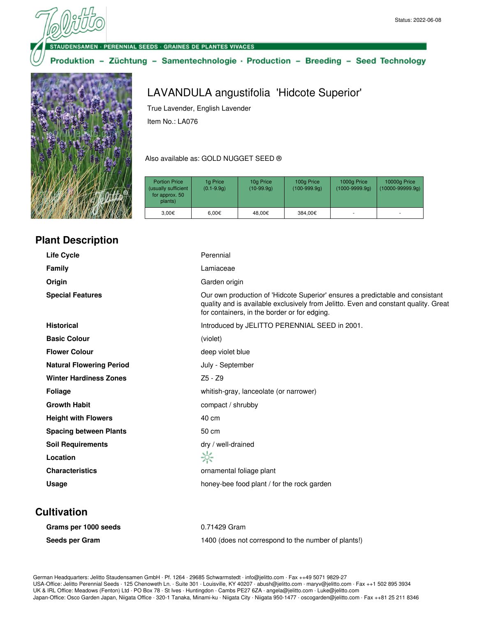ENSAMEN · PERENNIAL SEEDS · GRAINES DE PLANTES VIVACES

#### Produktion - Züchtung - Samentechnologie · Production - Breeding - Seed Technology



# LAVANDULA angustifolia 'Hidcote Superior'

True Lavender, English Lavender

Item No.: LA076

#### Also available as: GOLD NUGGET SEED ®

| <b>Portion Price</b><br>(usually sufficient<br>for approx. 50<br>plants) | 1g Price<br>$(0.1 - 9.9q)$ | 10g Price<br>$(10-99.9q)$ | 100g Price<br>$(100-999.9q)$ | 1000g Price<br>$(1000 - 9999.9q)$ | 10000g Price<br>$(10000 - 99999.9q)$ |
|--------------------------------------------------------------------------|----------------------------|---------------------------|------------------------------|-----------------------------------|--------------------------------------|
| 3.00€                                                                    | $6.00 \in$                 | 48.00€                    | 384,00€                      |                                   | ٠                                    |

## **Plant Description**

| <b>Life Cycle</b>               | Perennial                                                                                                                                                                                                            |
|---------------------------------|----------------------------------------------------------------------------------------------------------------------------------------------------------------------------------------------------------------------|
| <b>Family</b>                   | Lamiaceae                                                                                                                                                                                                            |
| Origin                          | Garden origin                                                                                                                                                                                                        |
| <b>Special Features</b>         | Our own production of 'Hidcote Superior' ensures a predictable and consistant<br>quality and is available exclusively from Jelitto. Even and constant quality. Great<br>for containers, in the border or for edging. |
| <b>Historical</b>               | Introduced by JELITTO PERENNIAL SEED in 2001.                                                                                                                                                                        |
| <b>Basic Colour</b>             | (violet)                                                                                                                                                                                                             |
| <b>Flower Colour</b>            | deep violet blue                                                                                                                                                                                                     |
| <b>Natural Flowering Period</b> | July - September                                                                                                                                                                                                     |
| <b>Winter Hardiness Zones</b>   | $Z5 - Z9$                                                                                                                                                                                                            |
| <b>Foliage</b>                  | whitish-gray, lanceolate (or narrower)                                                                                                                                                                               |
| <b>Growth Habit</b>             | compact / shrubby                                                                                                                                                                                                    |
| <b>Height with Flowers</b>      | 40 cm                                                                                                                                                                                                                |
| <b>Spacing between Plants</b>   | 50 cm                                                                                                                                                                                                                |
| <b>Soil Requirements</b>        | dry / well-drained                                                                                                                                                                                                   |
| Location                        | ☆                                                                                                                                                                                                                    |
| <b>Characteristics</b>          | ornamental foliage plant                                                                                                                                                                                             |
| Usage                           | honey-bee food plant / for the rock garden                                                                                                                                                                           |

### **Cultivation**

| Grams per 1000 seeds | 0.71429 Gram                                        |
|----------------------|-----------------------------------------------------|
| Seeds per Gram       | 1400 (does not correspond to the number of plants!) |